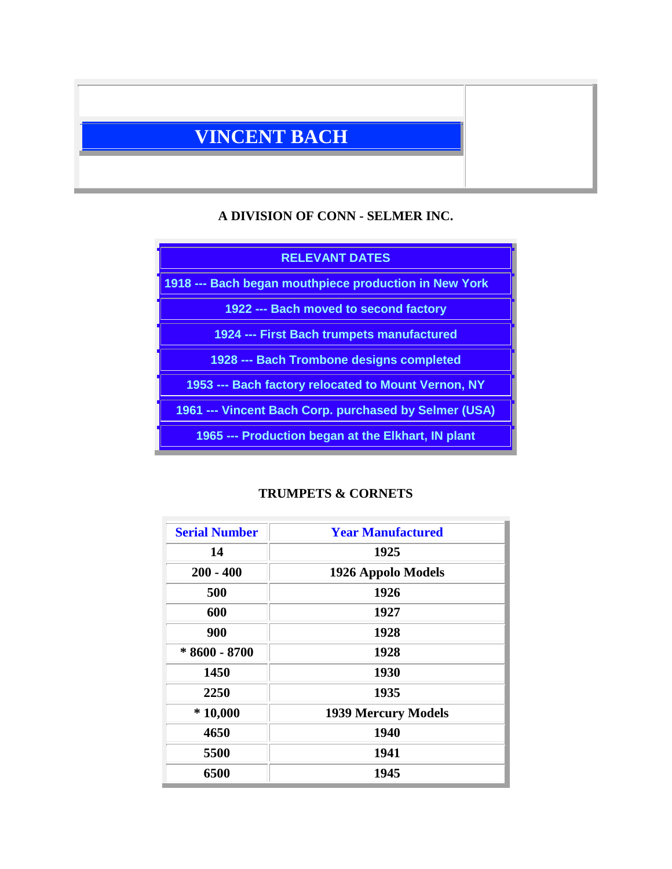# **VINCENT BACH**

### **A DIVISION OF CONN - SELMER INC.**

# **RELEVANT DATES 1918 --- Bach began mouthpiece production in New York 1922 --- Bach moved to second factory 1924 --- First Bach trumpets manufactured 1928 --- Bach Trombone designs completed 1953 --- Bach factory relocated to Mount Vernon, NY 1961 --- Vincent Bach Corp. purchased by Selmer (USA) 1965 --- Production began at the Elkhart, IN plant**

# **TRUMPETS & CORNETS**

| <b>Serial Number</b> | <b>Year Manufactured</b>   |
|----------------------|----------------------------|
| 14                   | 1925                       |
| $200 - 400$          | 1926 Appolo Models         |
| 500                  | 1926                       |
| 600                  | 1927                       |
| 900                  | 1928                       |
| $*8600 - 8700$       | 1928                       |
| 1450                 | 1930                       |
| 2250                 | 1935                       |
| $*10,000$            | <b>1939 Mercury Models</b> |
| 4650                 | 1940                       |
| 5500                 | 1941                       |
| 6500                 | 1945                       |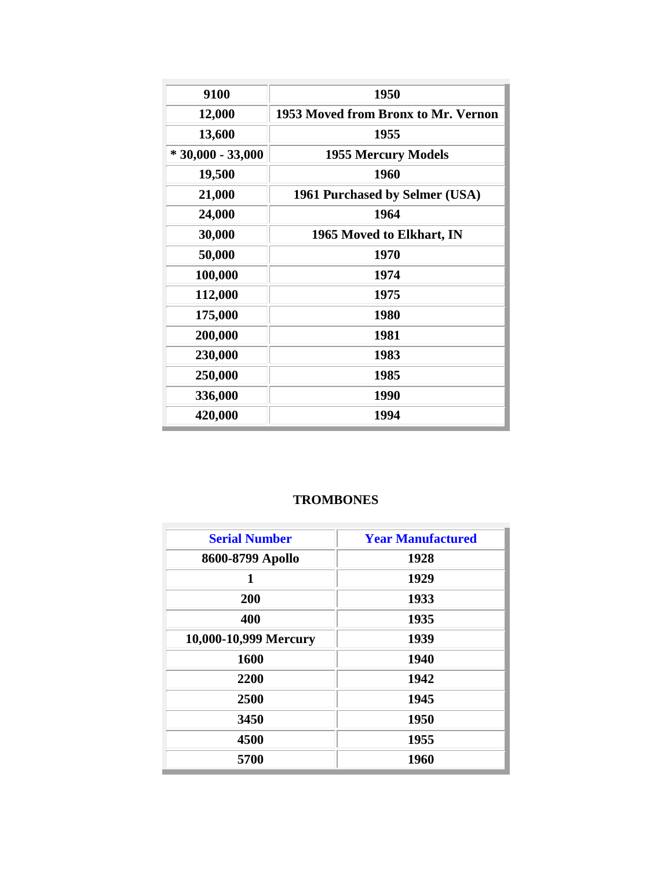| 9100               | 1950                                |
|--------------------|-------------------------------------|
| 12,000             | 1953 Moved from Bronx to Mr. Vernon |
| 13,600             | 1955                                |
| $*30,000 - 33,000$ | <b>1955 Mercury Models</b>          |
| 19,500             | 1960                                |
| 21,000             | 1961 Purchased by Selmer (USA)      |
| 24,000             | 1964                                |
| 30,000             | 1965 Moved to Elkhart, IN           |
| 50,000             | 1970                                |
| 100,000            | 1974                                |
| 112,000            | 1975                                |
| 175,000            | 1980                                |
| 200,000            | 1981                                |
| 230,000            | 1983                                |
| 250,000            | 1985                                |
| 336,000            | 1990                                |
| 420,000            | 1994                                |

# **TROMBONES**

| <b>Serial Number</b>  | <b>Year Manufactured</b> |
|-----------------------|--------------------------|
| 8600-8799 Apollo      | 1928                     |
| 1                     | 1929                     |
| 200                   | 1933                     |
| 400                   | 1935                     |
| 10,000-10,999 Mercury | 1939                     |
| 1600                  | 1940                     |
| 2200                  | 1942                     |
| 2500                  | 1945                     |
| 3450                  | 1950                     |
| 4500                  | 1955                     |
| 5700                  | 1960                     |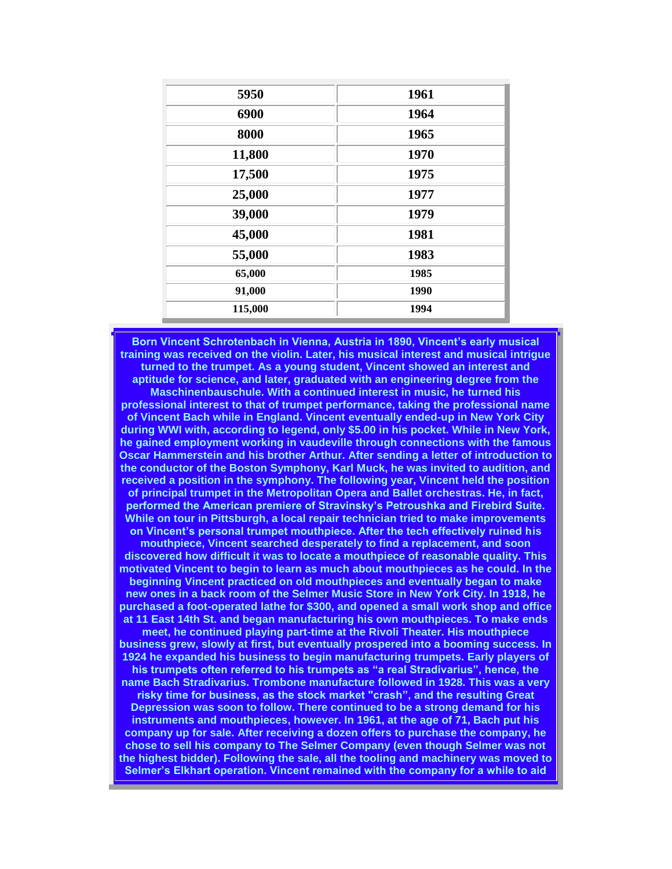| 5950    | 1961 |
|---------|------|
| 6900    | 1964 |
| 8000    | 1965 |
| 11,800  | 1970 |
| 17,500  | 1975 |
| 25,000  | 1977 |
| 39,000  | 1979 |
| 45,000  | 1981 |
| 55,000  | 1983 |
| 65,000  | 1985 |
| 91,000  | 1990 |
| 115,000 | 1994 |

**Born Vincent Schrotenbach in Vienna, Austria in 1890, Vincent's early musical training was received on the violin. Later, his musical interest and musical intrigue turned to the trumpet. As a young student, Vincent showed an interest and aptitude for science, and later, graduated with an engineering degree from the Maschinenbauschule. With a continued interest in music, he turned his professional interest to that of trumpet performance, taking the professional name of Vincent Bach while in England. Vincent eventually ended-up in New York City during WWI with, according to legend, only \$5.00 in his pocket. While in New York, he gained employment working in vaudeville through connections with the famous Oscar Hammerstein and his brother Arthur. After sending a letter of introduction to the conductor of the Boston Symphony, Karl Muck, he was invited to audition, and received a position in the symphony. The following year, Vincent held the position of principal trumpet in the Metropolitan Opera and Ballet orchestras. He, in fact, performed the American premiere of Stravinsky's Petroushka and Firebird Suite. While on tour in Pittsburgh, a local repair technician tried to make improvements on Vincent's personal trumpet mouthpiece. After the tech effectively ruined his** 

**mouthpiece, Vincent searched desperately to find a replacement, and soon discovered how difficult it was to locate a mouthpiece of reasonable quality. This motivated Vincent to begin to learn as much about mouthpieces as he could. In the beginning Vincent practiced on old mouthpieces and eventually began to make new ones in a back room of the Selmer Music Store in New York City. In 1918, he purchased a foot-operated lathe for \$300, and opened a small work shop and office at 11 East 14th St. and began manufacturing his own mouthpieces. To make ends** 

**meet, he continued playing part-time at the Rivoli Theater. His mouthpiece business grew, slowly at first, but eventually prospered into a booming success. In 1924 he expanded his business to begin manufacturing trumpets. Early players of his trumpets often referred to his trumpets as "a real Stradivarius", hence, the name Bach Stradivarius. Trombone manufacture followed in 1928. This was a very risky time for business, as the stock market "crash", and the resulting Great Depression was soon to follow. There continued to be a strong demand for his instruments and mouthpieces, however. In 1961, at the age of 71, Bach put his company up for sale. After receiving a dozen offers to purchase the company, he chose to sell his company to The Selmer Company (even though Selmer was not the highest bidder). Following the sale, all the tooling and machinery was moved to Selmer's Elkhart operation. Vincent remained with the company for a while to aid**